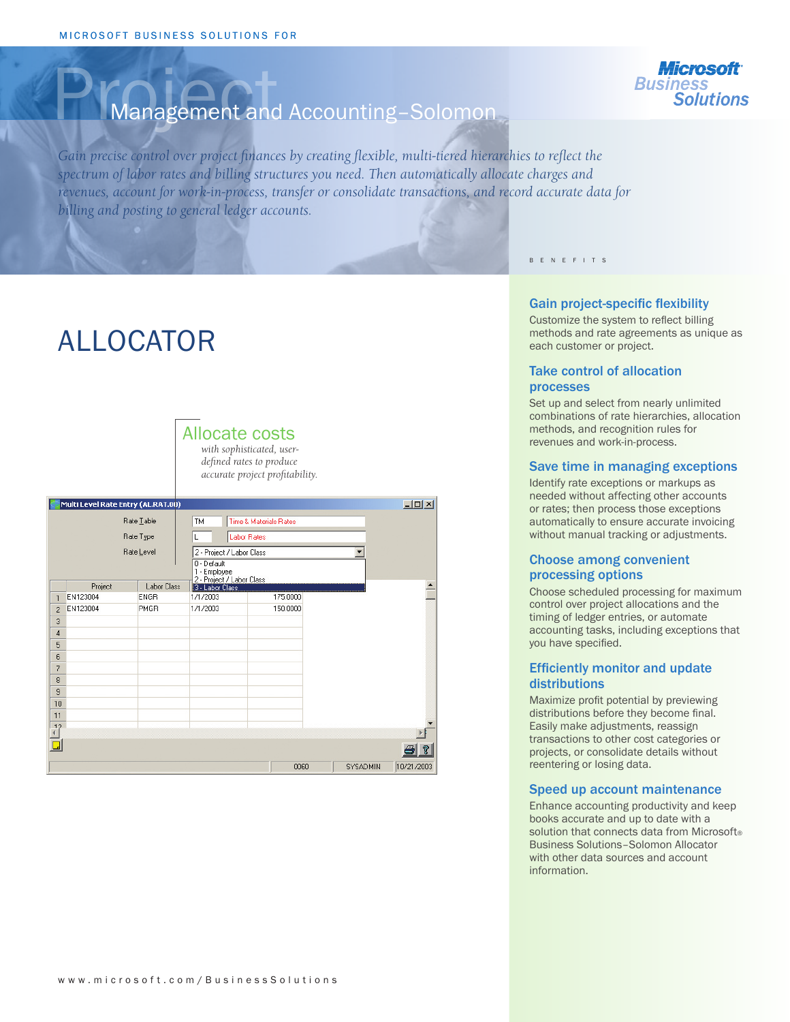

## Management and Accounting-Solomon

*Gain precise control over project finances by creating flexible, multi-tiered hierarchies to reflect the spectrum of labor rates and billing structures you need. Then automatically allocate charges and revenues, account for work-in-process, transfer or consolidate transactions, and record accurate data for billing and posting to general ledger accounts.*

# ALLOCATOR



| $-10x$<br>Multi Level Rate Entry (AL.RAT.00) |          |             |                                                                                                                |          |          |            |  |
|----------------------------------------------|----------|-------------|----------------------------------------------------------------------------------------------------------------|----------|----------|------------|--|
| Rate Lable<br>Rate Type<br>Rate Level        |          |             | TM<br>Time & Materials Rates<br><b>Labor Rates</b><br>2 - Project / Labor Class<br>0 - Default<br>1 - Employee |          |          |            |  |
|                                              | Project  | Labor Class | 2 - Project / Labor Class<br>3 - Labor Class                                                                   |          |          |            |  |
| $\mathbf{1}$                                 | EN123004 | <b>ENGR</b> | 1/1/2003                                                                                                       | 175.0000 |          |            |  |
| $\overline{2}$                               | EN123004 | PMGR        | 1/1/2003                                                                                                       | 150.0000 |          |            |  |
| 3                                            |          |             |                                                                                                                |          |          |            |  |
| $\overline{4}$                               |          |             |                                                                                                                |          |          |            |  |
| 5                                            |          |             |                                                                                                                |          |          |            |  |
| 6                                            |          |             |                                                                                                                |          |          |            |  |
| $\overline{7}$                               |          |             |                                                                                                                |          |          |            |  |
| 8                                            |          |             |                                                                                                                |          |          |            |  |
| 9                                            |          |             |                                                                                                                |          |          |            |  |
| 10                                           |          |             |                                                                                                                |          |          |            |  |
| 11<br>12                                     |          |             |                                                                                                                |          |          |            |  |
|                                              |          |             |                                                                                                                |          |          |            |  |
|                                              |          |             |                                                                                                                |          |          | a<br>R     |  |
|                                              |          |             |                                                                                                                | 0060     | SYSADMIN | 10/21/2003 |  |

B E N E F I T S

#### Gain project-specific flexibility

Customize the system to reflect billing methods and rate agreements as unique as each customer or project.

#### Take control of allocation processes

Set up and select from nearly unlimited combinations of rate hierarchies, allocation methods, and recognition rules for revenues and work-in-process.

#### Save time in managing exceptions

Identify rate exceptions or markups as needed without affecting other accounts or rates; then process those exceptions automatically to ensure accurate invoicing without manual tracking or adjustments.

#### Choose among convenient processing options

Choose scheduled processing for maximum control over project allocations and the timing of ledger entries, or automate accounting tasks, including exceptions that you have specified.

### Efficiently monitor and update distributions

Maximize profit potential by previewing distributions before they become final. Easily make adjustments, reassign transactions to other cost categories or projects, or consolidate details without reentering or losing data.

#### Speed up account maintenance

Enhance accounting productivity and keep books accurate and up to date with a solution that connects data from Microsoft® Business Solutions–Solomon Allocator with other data sources and account information.